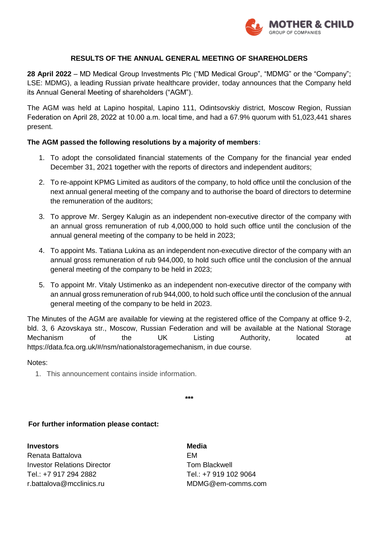

# **RESULTS OF THE ANNUAL GENERAL MEETING OF SHAREHOLDERS**

**28 April 2022** – MD Medical Group Investments Plc ("MD Medical Group", "MDMG" or the "Company"; LSE: MDMG), a leading Russian private healthcare provider, today announces that the Company held its Annual General Meeting of shareholders ("AGM").

The AGM was held at Lapino hospital, Lapino 111, Odintsovskiy district, Moscow Region, Russian Federation on April 28, 2022 at 10.00 а.m. local time, and had a 67.9% quorum with 51,023,441 shares present.

# **The AGM passed the following resolutions by a majority of members:**

- 1. To adopt the consolidated financial statements of the Company for the financial year ended December 31, 2021 together with the reports of directors and independent auditors;
- 2. To re-appoint KPMG Limited as auditors of the company, to hold office until the conclusion of the next annual general meeting of the company and to authorise the board of directors to determine the remuneration of the auditors;
- 3. To approve Mr. Sergey Kalugin as an independent non-executive director of the company with an annual gross remuneration of rub 4,000,000 to hold such office until the conclusion of the annual general meeting of the company to be held in 2023;
- 4. To appoint Ms. Tatiana Lukina as an independent non-executive director of the company with an annual gross remuneration of rub 944,000, to hold such office until the conclusion of the annual general meeting of the company to be held in 2023;
- 5. To appoint Mr. Vitaly Ustimenko as an independent non-executive director of the company with an annual gross remuneration of rub 944,000, to hold such office until the conclusion of the annual general meeting of the company to be held in 2023.

The Minutes of the AGM are available for viewing at the registered office of the Company at office 9-2, bld. 3, 6 Azovskaya str., Moscow, Russian Federation and will be available at the National Storage Mechanism of the UK Listing Authority, located at https://data.fca.org.uk/#/nsm/nationalstoragemechanism, in due course.

### Notes:

1. This announcement contains inside information.

**\*\*\***

# **For further information please contact:**

**Investors Media** Renata Battalova **EM Investor Relations Director** Tom Blackwell Tel.: +7 917 294 2882 Tel.: +7 919 102 9064 r.battalova@mcclinics.ru MDMG@em-comms.com